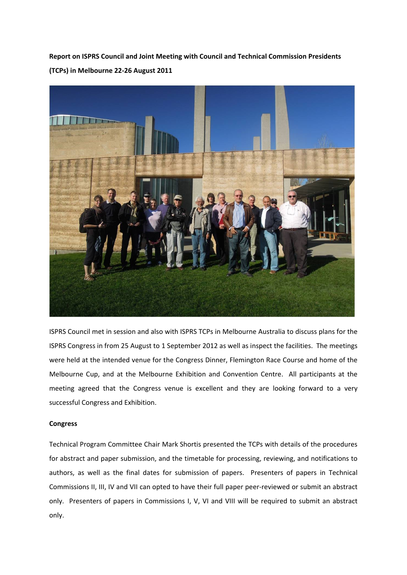**Report on ISPRS Council and Joint Meeting with Council and Technical Commission Presidents (TCPs) in Melbourne 22-26 August 2011** 



ISPRS Council met in session and also with ISPRS TCPs in Melbourne Australia to discuss plans for the ISPRS Congress in from 25 August to 1 September 2012 as well as inspect the facilities. The meetings were held at the intended venue for the Congress Dinner, Flemington Race Course and home of the Melbourne Cup, and at the Melbourne Exhibition and Convention Centre. All participants at the meeting agreed that the Congress venue is excellent and they are looking forward to a very successful Congress and Exhibition.

## **Congress**

Technical Program Committee Chair Mark Shortis presented the TCPs with details of the procedures for abstract and paper submission, and the timetable for processing, reviewing, and notifications to authors, as well as the final dates for submission of papers. Presenters of papers in Technical Commissions II, III, IV and VII can opted to have their full paper peer-reviewed or submit an abstract only. Presenters of papers in Commissions I, V, VI and VIII will be required to submit an abstract only.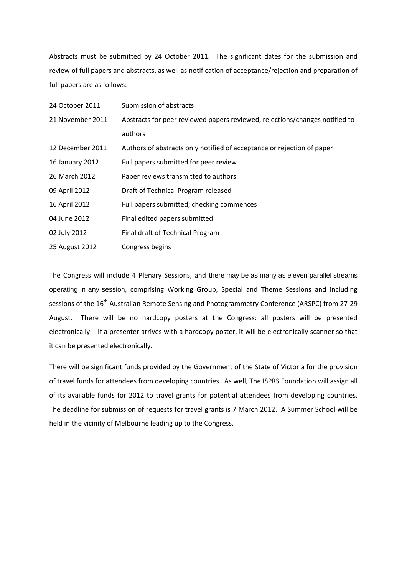Abstracts must be submitted by 24 October 2011. The significant dates for the submission and review of full papers and abstracts, as well as notification of acceptance/rejection and preparation of full papers are as follows:

| 24 October 2011  | Submission of abstracts                                                     |
|------------------|-----------------------------------------------------------------------------|
| 21 November 2011 | Abstracts for peer reviewed papers reviewed, rejections/changes notified to |
|                  | authors                                                                     |
| 12 December 2011 | Authors of abstracts only notified of acceptance or rejection of paper      |
| 16 January 2012  | Full papers submitted for peer review                                       |
| 26 March 2012    | Paper reviews transmitted to authors                                        |
| 09 April 2012    | Draft of Technical Program released                                         |
| 16 April 2012    | Full papers submitted; checking commences                                   |
| 04 June 2012     | Final edited papers submitted                                               |
| 02 July 2012     | Final draft of Technical Program                                            |
| 25 August 2012   | Congress begins                                                             |

The Congress will include 4 Plenary Sessions, and there may be as many as eleven parallel streams operating in any session, comprising Working Group, Special and Theme Sessions and including sessions of the 16<sup>th</sup> Australian Remote Sensing and Photogrammetry Conference (ARSPC) from 27-29 August. There will be no hardcopy posters at the Congress: all posters will be presented electronically. If a presenter arrives with a hardcopy poster, it will be electronically scanner so that it can be presented electronically.

There will be significant funds provided by the Government of the State of Victoria for the provision of travel funds for attendees from developing countries. As well, The ISPRS Foundation will assign all of its available funds for 2012 to travel grants for potential attendees from developing countries. The deadline for submission of requests for travel grants is 7 March 2012. A Summer School will be held in the vicinity of Melbourne leading up to the Congress.